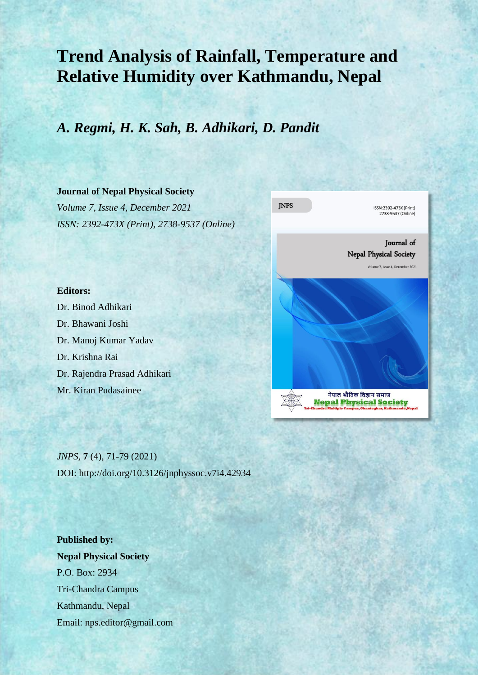# **Trend Analysis of Rainfall, Temperature and Relative Humidity over Kathmandu, Nepal**

# *A. Regmi, H. K. Sah, B. Adhikari, D. Pandit*

### **Journal of Nepal Physical Society**

*Volume 7, Issue 4, December 2021 ISSN: 2392-473X (Print), 2738-9537 (Online)*



# **Editors:**

Dr. Binod Adhikari Dr. Bhawani Joshi Dr. Manoj Kumar Yadav Dr. Krishna Rai Dr. Rajendra Prasad Adhikari Mr. Kiran Pudasainee

*JNPS,* **7** (4), 71-79 (2021) DOI: http://doi.org/10.3126/jnphyssoc.v7i4.42934

**Published by: Nepal Physical Society** P.O. Box: 2934 Tri-Chandra Campus Kathmandu, Nepal Email: nps.editor@gmail.com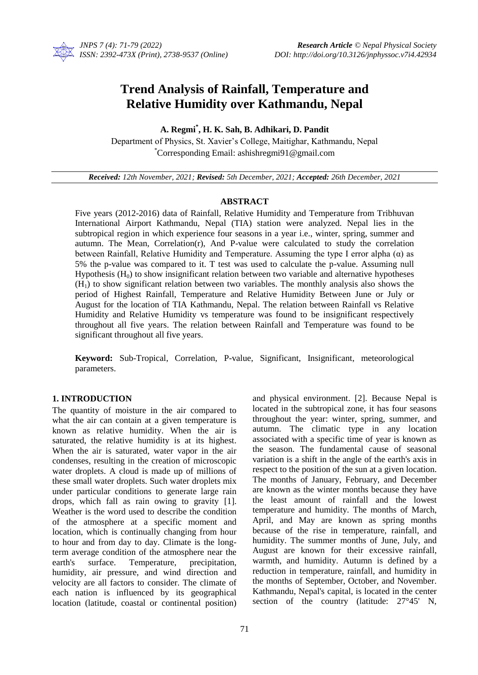

# **Trend Analysis of Rainfall, Temperature and Relative Humidity over Kathmandu, Nepal**

**A. Regmi\* , H. K. Sah, B. Adhikari, D. Pandit**

Department of Physics, St. Xavier's College, Maitighar, Kathmandu, Nepal \*Corresponding Email: ashishregmi91@gmail.com

*Received: 12th November, 2021; Revised: 5th December, 2021; Accepted: 26th December, 2021*

### **ABSTRACT**

Five years (2012-2016) data of Rainfall, Relative Humidity and Temperature from Tribhuvan International Airport Kathmandu, Nepal (TIA) station were analyzed. Nepal lies in the subtropical region in which experience four seasons in a year i.e., winter, spring, summer and autumn. The Mean, Correlation(r), And P-value were calculated to study the correlation between Rainfall, Relative Humidity and Temperature. Assuming the type I error alpha  $(\alpha)$  as 5% the p-value was compared to it. T test was used to calculate the p-value. Assuming null Hypothesis  $(H<sub>0</sub>)$  to show insignificant relation between two variable and alternative hypotheses  $(H<sub>1</sub>)$  to show significant relation between two variables. The monthly analysis also shows the period of Highest Rainfall, Temperature and Relative Humidity Between June or July or August for the location of TIA Kathmandu, Nepal. The relation between Rainfall vs Relative Humidity and Relative Humidity vs temperature was found to be insignificant respectively throughout all five years. The relation between Rainfall and Temperature was found to be significant throughout all five years.

**Keyword:** Sub-Tropical, Correlation, P-value, Significant, Insignificant, meteorological parameters.

# **1. INTRODUCTION**

The quantity of moisture in the air compared to what the air can contain at a given temperature is known as relative humidity. When the air is saturated, the relative humidity is at its highest. When the air is saturated, water vapor in the air condenses, resulting in the creation of microscopic water droplets. A cloud is made up of millions of these small water droplets. Such water droplets mix under particular conditions to generate large rain drops, which fall as rain owing to gravity [1]. Weather is the word used to describe the condition of the atmosphere at a specific moment and location, which is continually changing from hour to hour and from day to day. Climate is the longterm average condition of the atmosphere near the earth's surface. Temperature, precipitation, humidity, air pressure, and wind direction and velocity are all factors to consider. The climate of each nation is influenced by its geographical location (latitude, coastal or continental position) and physical environment. [2]. Because Nepal is located in the subtropical zone, it has four seasons throughout the year: winter, spring, summer, and autumn. The climatic type in any location associated with a specific time of year is known as the season. The fundamental cause of seasonal variation is a shift in the angle of the earth's axis in respect to the position of the sun at a given location. The months of January, February, and December are known as the winter months because they have the least amount of rainfall and the lowest temperature and humidity. The months of March, April, and May are known as spring months because of the rise in temperature, rainfall, and humidity. The summer months of June, July, and August are known for their excessive rainfall, warmth, and humidity. Autumn is defined by a reduction in temperature, rainfall, and humidity in the months of September, October, and November. Kathmandu, Nepal's capital, is located in the center section of the country (latitude:  $27^{\circ}45'$  N,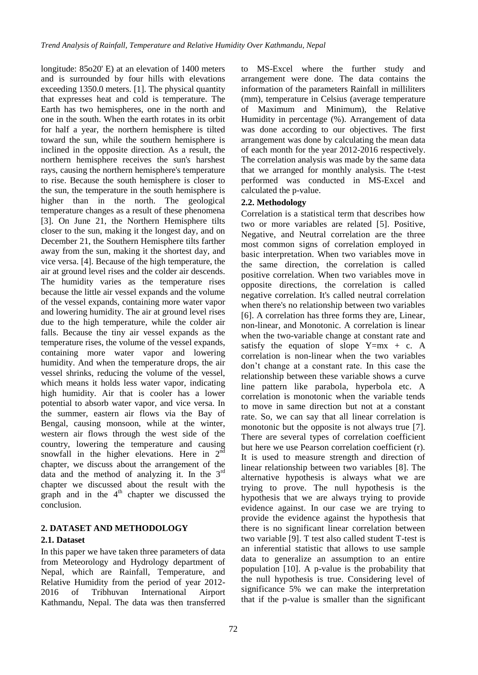longitude: 85o20' E) at an elevation of 1400 meters and is surrounded by four hills with elevations exceeding 1350.0 meters. [1]. The physical quantity that expresses heat and cold is temperature. The Earth has two hemispheres, one in the north and one in the south. When the earth rotates in its orbit for half a year, the northern hemisphere is tilted toward the sun, while the southern hemisphere is inclined in the opposite direction. As a result, the northern hemisphere receives the sun's harshest rays, causing the northern hemisphere's temperature to rise. Because the south hemisphere is closer to the sun, the temperature in the south hemisphere is higher than in the north. The geological temperature changes as a result of these phenomena [3]. On June 21, the Northern Hemisphere tilts closer to the sun, making it the longest day, and on December 21, the Southern Hemisphere tilts farther away from the sun, making it the shortest day, and vice versa. [4]. Because of the high temperature, the air at ground level rises and the colder air descends. The humidity varies as the temperature rises because the little air vessel expands and the volume of the vessel expands, containing more water vapor and lowering humidity. The air at ground level rises due to the high temperature, while the colder air falls. Because the tiny air vessel expands as the temperature rises, the volume of the vessel expands, containing more water vapor and lowering humidity. And when the temperature drops, the air vessel shrinks, reducing the volume of the vessel, which means it holds less water vapor, indicating high humidity. Air that is cooler has a lower potential to absorb water vapor, and vice versa. In the summer, eastern air flows via the Bay of Bengal, causing monsoon, while at the winter, western air flows through the west side of the country, lowering the temperature and causing snowfall in the higher elevations. Here in  $2^{\overline{nd}}$ chapter, we discuss about the arrangement of the data and the method of analyzing it. In the  $3<sup>rd</sup>$ chapter we discussed about the result with the graph and in the  $4<sup>th</sup>$  chapter we discussed the conclusion.

# **2. DATASET AND METHODOLOGY 2.1. Dataset**

In this paper we have taken three parameters of data from Meteorology and Hydrology department of Nepal, which are Rainfall, Temperature, and Relative Humidity from the period of year 2012- 2016 of Tribhuvan International Airport Kathmandu, Nepal. The data was then transferred

72

to MS-Excel where the further study and arrangement were done. The data contains the information of the parameters Rainfall in milliliters (mm), temperature in Celsius (average temperature of Maximum and Minimum), the Relative Humidity in percentage (%). Arrangement of data was done according to our objectives. The first arrangement was done by calculating the mean data of each month for the year 2012-2016 respectively. The correlation analysis was made by the same data that we arranged for monthly analysis. The t-test performed was conducted in MS-Excel and calculated the p-value.

# **2.2. Methodology**

Correlation is a statistical term that describes how two or more variables are related [5]. Positive, Negative, and Neutral correlation are the three most common signs of correlation employed in basic interpretation. When two variables move in the same direction, the correlation is called positive correlation. When two variables move in opposite directions, the correlation is called negative correlation. It's called neutral correlation when there's no relationship between two variables [6]. A correlation has three forms they are, Linear, non-linear, and Monotonic. A correlation is linear when the two-variable change at constant rate and satisfy the equation of slope  $Y=mx + c$ . A correlation is non-linear when the two variables don't change at a constant rate. In this case the relationship between these variable shows a curve line pattern like parabola, hyperbola etc. A correlation is monotonic when the variable tends to move in same direction but not at a constant rate. So, we can say that all linear correlation is monotonic but the opposite is not always true [7]. There are several types of correlation coefficient but here we use Pearson correlation coefficient (r). It is used to measure strength and direction of linear relationship between two variables [8]. The alternative hypothesis is always what we are trying to prove. The null hypothesis is the hypothesis that we are always trying to provide evidence against. In our case we are trying to provide the evidence against the hypothesis that there is no significant linear correlation between two variable [9]. T test also called student T-test is an inferential statistic that allows to use sample data to generalize an assumption to an entire population [10]. A p-value is the probability that the null hypothesis is true. Considering level of significance 5% we can make the interpretation that if the p-value is smaller than the significant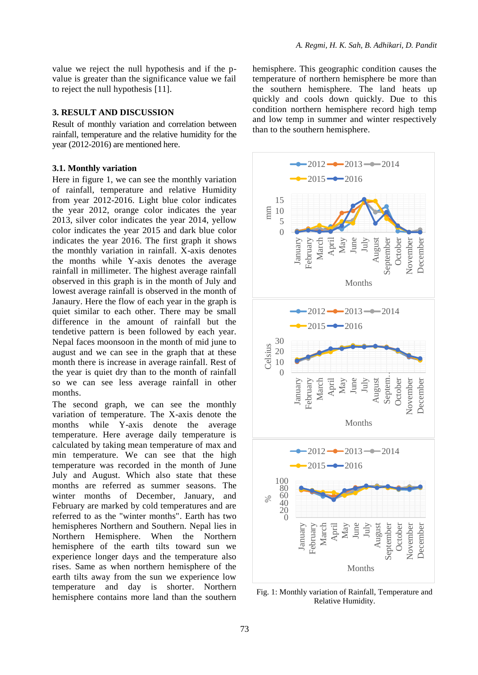value we reject the null hypothesis and if the pvalue is greater than the significance value we fail to reject the null hypothesis [11].

#### **3. RESULT AND DISCUSSION**

Result of monthly variation and correlation between rainfall, temperature and the relative humidity for the year (2012-2016) are mentioned here.

#### **3.1. Monthly variation**

Here in figure 1, we can see the monthly variation of rainfall, temperature and relative Humidity from year 2012-2016. Light blue color indicates the year 2012, orange color indicates the year 2013, silver color indicates the year 2014, yellow color indicates the year 2015 and dark blue color indicates the year 2016. The first graph it shows the monthly variation in rainfall. X-axis denotes the months while Y-axis denotes the average rainfall in millimeter. The highest average rainfall observed in this graph is in the month of July and lowest average rainfall is observed in the month of Janaury. Here the flow of each year in the graph is quiet similar to each other. There may be small difference in the amount of rainfall but the tendetive pattern is been followed by each year. Nepal faces moonsoon in the month of mid june to august and we can see in the graph that at these month there is increase in average rainfall. Rest of the year is quiet dry than to the month of rainfall so we can see less average rainfall in other months.

The second graph, we can see the monthly variation of temperature. The X-axis denote the months while Y-axis denote the average temperature. Here average daily temperature is calculated by taking mean temperature of max and min temperature. We can see that the high temperature was recorded in the month of June July and August. Which also state that these months are referred as summer seasons. The winter months of December, January, and February are marked by cold temperatures and are referred to as the "winter months". Earth has two hemispheres Northern and Southern. Nepal lies in Northern Hemisphere. When the Northern hemisphere of the earth tilts toward sun we experience longer days and the temperature also rises. Same as when northern hemisphere of the earth tilts away from the sun we experience low temperature and day is shorter. Northern hemisphere contains more land than the southern hemisphere. This geographic condition causes the temperature of northern hemisphere be more than the southern hemisphere. The land heats up quickly and cools down quickly. Due to this condition northern hemisphere record high temp and low temp in summer and winter respectively than to the southern hemisphere.



Fig. 1: Monthly variation of Rainfall, Temperature and Relative Humidity.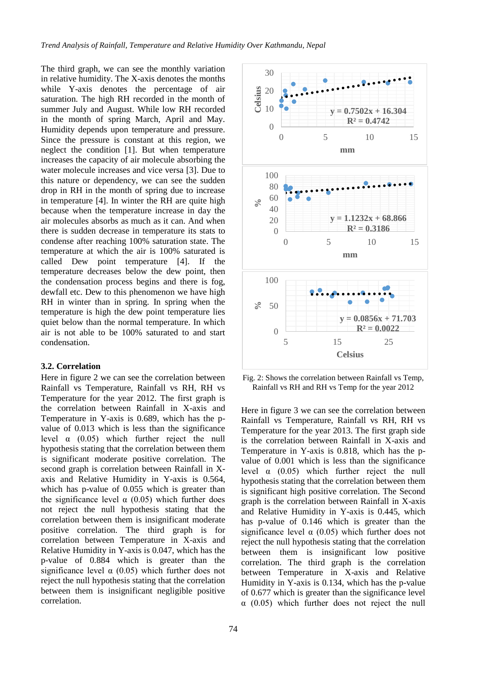The third graph, we can see the monthly variation in relative humidity. The X-axis denotes the months while Y-axis denotes the percentage of air saturation. The high RH recorded in the month of summer July and August. While low RH recorded in the month of spring March, April and May. Humidity depends upon temperature and pressure. Since the pressure is constant at this region, we neglect the condition [1]. But when temperature increases the capacity of air molecule absorbing the water molecule increases and vice versa [3]. Due to this nature or dependency, we can see the sudden drop in RH in the month of spring due to increase in temperature [4]. In winter the RH are quite high because when the temperature increase in day the air molecules absorbs as much as it can. And when there is sudden decrease in temperature its stats to condense after reaching 100% saturation state. The temperature at which the air is 100% saturated is called Dew point temperature [4]. If the temperature decreases below the dew point, then the condensation process begins and there is fog, dewfall etc. Dew to this phenomenon we have high RH in winter than in spring. In spring when the temperature is high the dew point temperature lies quiet below than the normal temperature. In which air is not able to be 100% saturated to and start condensation.

#### **3.2. Correlation**

Here in figure 2 we can see the correlation between Rainfall vs Temperature, Rainfall vs RH, RH vs Temperature for the year 2012. The first graph is the correlation between Rainfall in X-axis and Temperature in Y-axis is 0.689, which has the pvalue of 0.013 which is less than the significance level  $\alpha$  (0.05) which further reject the null hypothesis stating that the correlation between them is significant moderate positive correlation. The second graph is correlation between Rainfall in Xaxis and Relative Humidity in Y-axis is 0.564, which has p-value of 0.055 which is greater than the significance level  $\alpha$  (0.05) which further does not reject the null hypothesis stating that the correlation between them is insignificant moderate positive correlation. The third graph is for correlation between Temperature in X-axis and Relative Humidity in Y-axis is 0.047, which has the p-value of 0.884 which is greater than the significance level  $\alpha$  (0.05) which further does not reject the null hypothesis stating that the correlation between them is insignificant negligible positive correlation.



Fig. 2: Shows the correlation between Rainfall vs Temp, Rainfall vs RH and RH vs Temp for the year 2012

Here in figure 3 we can see the correlation between Rainfall vs Temperature, Rainfall vs RH, RH vs Temperature for the year 2013. The first graph side is the correlation between Rainfall in X-axis and Temperature in Y-axis is 0.818, which has the pvalue of 0.001 which is less than the significance level  $\alpha$  (0.05) which further reject the null hypothesis stating that the correlation between them is significant high positive correlation. The Second graph is the correlation between Rainfall in X-axis and Relative Humidity in Y-axis is 0.445, which has p-value of 0.146 which is greater than the significance level  $\alpha$  (0.05) which further does not reject the null hypothesis stating that the correlation between them is insignificant low positive correlation. The third graph is the correlation between Temperature in X-axis and Relative Humidity in Y-axis is 0.134, which has the p-value of 0.677 which is greater than the significance level  $\alpha$  (0.05) which further does not reject the null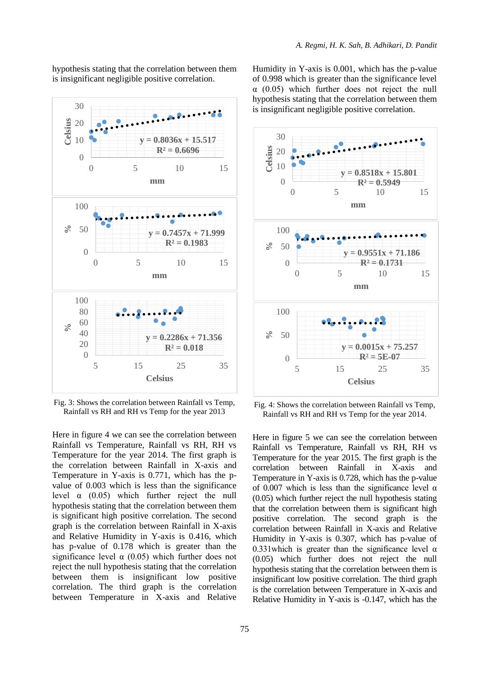hypothesis stating that the correlation between them is insignificant negligible positive correlation.



Fig. 3: Shows the correlation between Rainfall vs Temp, Rainfall vs RH and RH vs Temp for the year 2013

Here in figure 4 we can see the correlation between Rainfall vs Temperature, Rainfall vs RH, RH vs Temperature for the year 2014. The first graph is the correlation between Rainfall in X-axis and Temperature in Y-axis is 0.771, which has the pvalue of 0.003 which is less than the significance level  $\alpha$  (0.05) which further reject the null hypothesis stating that the correlation between them is significant high positive correlation. The second graph is the correlation between Rainfall in X-axis and Relative Humidity in Y-axis is 0.416, which has p-value of 0.178 which is greater than the significance level  $\alpha$  (0.05) which further does not reject the null hypothesis stating that the correlation between them is insignificant low positive correlation. The third graph is the correlation between Temperature in X-axis and Relative Humidity in Y-axis is 0.001, which has the p-value of 0.998 which is greater than the significance level α (0.05) which further does not reject the null hypothesis stating that the correlation between them is insignificant negligible positive correlation.



Fig. 4: Shows the correlation between Rainfall vs Temp, Rainfall vs RH and RH vs Temp for the year 2014.

Here in figure 5 we can see the correlation between Rainfall vs Temperature, Rainfall vs RH, RH vs Temperature for the year 2015. The first graph is the correlation between Rainfall in X-axis and Temperature in Y-axis is 0.728, which has the p-value of 0.007 which is less than the significance level  $\alpha$ (0.05) which further reject the null hypothesis stating that the correlation between them is significant high positive correlation. The second graph is the correlation between Rainfall in X-axis and Relative Humidity in Y-axis is 0.307, which has p-value of 0.331 which is greater than the significance level  $\alpha$ (0.05) which further does not reject the null hypothesis stating that the correlation between them is insignificant low positive correlation. The third graph is the correlation between Temperature in X-axis and Relative Humidity in Y-axis is -0.147, which has the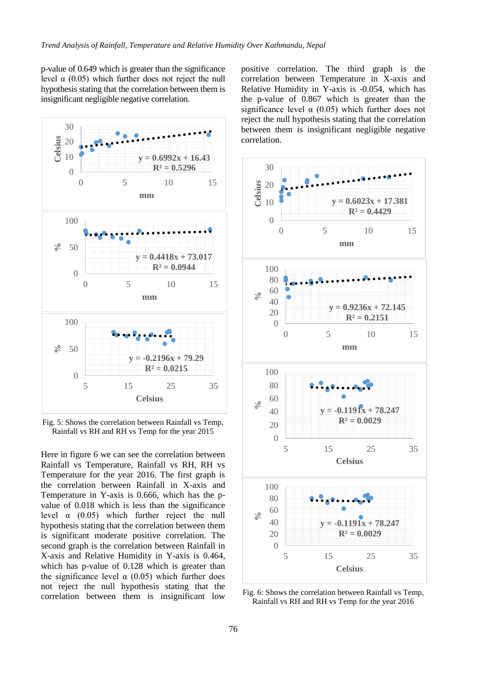p-value of 0.649 which is greater than the significance level  $α$  (0.05) which further does not reject the null hypothesis stating that the correlation between them is insignificant negligible negative correlation.



Fig. 5: Shows the correlation between Rainfall vs Temp, Rainfall vs RH and RH vs Temp for the year 2015

Here in figure 6 we can see the correlation between Rainfall vs Temperature, Rainfall vs RH, RH vs Temperature for the year 2016. The first graph is the correlation between Rainfall in X-axis and Temperature in Y-axis is 0.666, which has the pvalue of 0.018 which is less than the significance level  $\alpha$  (0.05) which further reject the null hypothesis stating that the correlation between them is significant moderate positive correlation. The second graph is the correlation between Rainfall in X-axis and Relative Humidity in Y-axis is 0.464, which has p-value of 0.128 which is greater than the significance level  $\alpha$  (0.05) which further does not reject the null hypothesis stating that the correlation between them is insignificant low positive correlation. The third graph is the correlation between Temperature in X-axis and Relative Humidity in Y-axis is -0.054, which has the p-value of 0.867 which is greater than the significance level  $\alpha$  (0.05) which further does not reject the null hypothesis stating that the correlation between them is insignificant negligible negative correlation.



Fig. 6: Shows the correlation between Rainfall vs Temp, Rainfall vs RH and RH vs Temp for the year 2016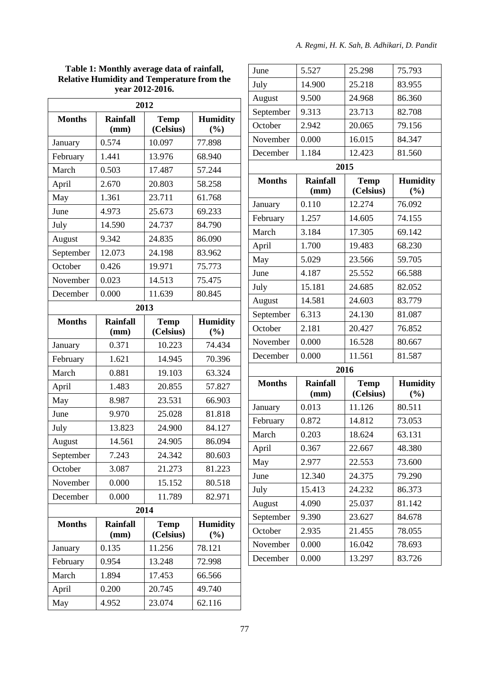#### **Table 1: Monthly average data of rainfall, Relative Humidity and Temperature from the year 2012-2016.**

| 2012          |                         |                          |                        |  |  |  |
|---------------|-------------------------|--------------------------|------------------------|--|--|--|
| <b>Months</b> | <b>Rainfall</b><br>(mm) | <b>Temp</b><br>(Celsius) | <b>Humidity</b><br>(%) |  |  |  |
| January       | 0.574                   | 10.097                   | 77.898                 |  |  |  |
| February      | 1.441                   | 13.976                   | 68.940                 |  |  |  |
| March         | 0.503                   | 17.487                   | 57.244                 |  |  |  |
| April         | 2.670                   | 20.803                   | 58.258                 |  |  |  |
| May           | 1.361                   | 23.711                   | 61.768                 |  |  |  |
| June          | 4.973                   | 25.673                   | 69.233                 |  |  |  |
| July          | 14.590                  | 24.737                   | 84.790                 |  |  |  |
| August        | 9.342                   | 24.835                   | 86.090                 |  |  |  |
| September     | 12.073                  | 24.198                   | 83.962                 |  |  |  |
| October       | 0.426                   | 19.971                   | 75.773                 |  |  |  |
| November      | 0.023                   | 14.513                   | 75.475                 |  |  |  |
| December      | 0.000                   | 11.639                   | 80.845                 |  |  |  |
|               |                         | 2013                     |                        |  |  |  |
| <b>Months</b> | <b>Rainfall</b><br>(mm) | <b>Temp</b><br>(Celsius) | <b>Humidity</b><br>(%) |  |  |  |
| January       | 0.371                   | 10.223                   | 74.434                 |  |  |  |
| February      | 1.621                   | 14.945                   | 70.396                 |  |  |  |
| March         | 0.881                   | 19.103                   | 63.324                 |  |  |  |
| April         | 1.483                   | 20.855                   | 57.827                 |  |  |  |
| May           | 8.987                   | 23.531                   | 66.903                 |  |  |  |
| June          | 9.970                   | 25.028                   | 81.818                 |  |  |  |
| July          | 13.823                  | 24.900                   | 84.127                 |  |  |  |
| August        | 14.561                  | 24.905                   | 86.094                 |  |  |  |
| September     | 7.243                   | 24.342                   | 80.603                 |  |  |  |
| October       | 3.087                   | 21.273                   | 81.223                 |  |  |  |
| November      | 0.000                   | 15.152                   | 80.518                 |  |  |  |
| December      | 0.000                   | 11.789                   | 82.971                 |  |  |  |
| 2014          |                         |                          |                        |  |  |  |
| <b>Months</b> | <b>Rainfall</b><br>(mm) | <b>Temp</b><br>(Celsius) | <b>Humidity</b><br>(%) |  |  |  |
| January       | 0.135                   | 11.256                   | 78.121                 |  |  |  |
| February      | 0.954                   | 13.248                   | 72.998                 |  |  |  |
| March         | 1.894                   | 17.453                   | 66.566                 |  |  |  |
| April         | 0.200                   | 20.745                   | 49.740                 |  |  |  |
| May           | 4.952                   | 23.074                   | 62.116                 |  |  |  |

| June          | 5.527                   | 25.298                   | 75.793                    |  |  |
|---------------|-------------------------|--------------------------|---------------------------|--|--|
| July          | 14.900                  | 25.218                   | 83.955                    |  |  |
| August        | 9.500                   | 24.968                   | 86.360                    |  |  |
| September     | 9.313                   | 23.713                   | 82.708                    |  |  |
| October       | 2.942                   | 20.065                   | 79.156                    |  |  |
| November      | 0.000                   | 16.015                   | 84.347                    |  |  |
| December      | 1.184                   | 12.423                   | 81.560                    |  |  |
| 2015          |                         |                          |                           |  |  |
| <b>Months</b> | <b>Rainfall</b><br>(mm) | <b>Temp</b><br>(Celsius) | <b>Humidity</b><br>(%)    |  |  |
| January       | 0.110                   | 12.274                   | 76.092                    |  |  |
| February      | 1.257                   | 14.605                   | 74.155                    |  |  |
| March         | 3.184                   | 17.305                   | 69.142                    |  |  |
| April         | 1.700                   | 19.483                   | 68.230                    |  |  |
| May           | 5.029                   | 23.566                   | 59.705                    |  |  |
| June          | 4.187                   | 25.552                   | 66.588                    |  |  |
| July          | 15.181                  | 24.685                   | 82.052                    |  |  |
| August        | 14.581                  | 24.603                   | 83.779                    |  |  |
| September     | 6.313                   | 24.130                   | 81.087                    |  |  |
| October       | 2.181                   | 20.427                   | 76.852                    |  |  |
| November      | 0.000                   | 16.528                   | 80.667                    |  |  |
| December      | 0.000                   | 11.561                   | 81.587                    |  |  |
|               |                         | 2016                     |                           |  |  |
| <b>Months</b> | <b>Rainfall</b><br>(mm) | <b>Temp</b><br>(Celsius) | <b>Humidity</b><br>$(\%)$ |  |  |
| January       | 0.013                   | 11.126                   | 80.511                    |  |  |
| February      | 0.872                   | 14.812                   | 73.053                    |  |  |
| March         | 0.203                   | 18.624                   | 63.131                    |  |  |
| April         | 0.367                   | 22.667                   | 48.380                    |  |  |
| May           | 2.977                   | 22.553                   | 73.600                    |  |  |
| June          | 12.340                  | 24.375                   | 79.290                    |  |  |
| July          | 15.413                  | 24.232                   | 86.373                    |  |  |
| August        | 4.090                   | 25.037                   | 81.142                    |  |  |
| September     | 9.390                   | 23.627                   | 84.678                    |  |  |
| October       | 2.935                   | 21.455                   | 78.055                    |  |  |
| November      | 0.000                   | 16.042                   | 78.693                    |  |  |
| December      | 0.000                   | 13.297                   | 83.726                    |  |  |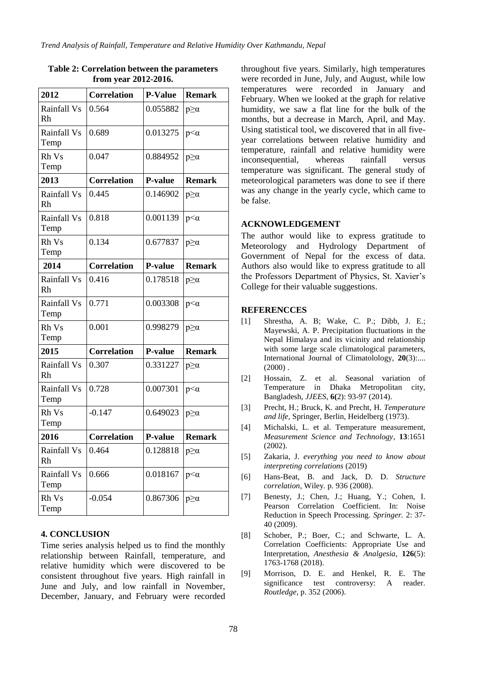| 2012                | <b>Correlation</b> | <b>P-Value</b> | <b>Remark</b>   |
|---------------------|--------------------|----------------|-----------------|
| Rainfall Vs<br>Rh   | 0.564              | 0.055882       | $p \geq \alpha$ |
| Rainfall Vs<br>Temp | 0.689              | 0.013275       | $p<\alpha$      |
| Rh Vs<br>Temp       | 0.047              | 0.884952       | $p \geq \alpha$ |
| 2013                | <b>Correlation</b> | <b>P-value</b> | <b>Remark</b>   |
| Rainfall Vs<br>Rh   | 0.445              | 0.146902       | $p \geq \alpha$ |
| Rainfall Vs<br>Temp | 0.818              | 0.001139       | $p<\alpha$      |
| Rh Vs<br>Temp       | 0.134              | 0.677837       | $p \geq \alpha$ |
| 2014                | <b>Correlation</b> | <b>P-value</b> | <b>Remark</b>   |
| Rainfall Vs<br>Rh   | 0.416              | 0.178518       | $p \geq \alpha$ |
| Rainfall Vs<br>Temp | 0.771              | 0.003308       | $p<\alpha$      |
| Rh Vs<br>Temp       | 0.001              | 0.998279       | $p \geq \alpha$ |
| 2015                | <b>Correlation</b> | <b>P-value</b> | <b>Remark</b>   |
| Rainfall Vs<br>Rh   | 0.307              | 0.331227       | $p \geq \alpha$ |
| Rainfall Vs<br>Temp | 0.728              | 0.007301       | $p<\alpha$      |
| Rh Vs<br>Temp       | $-0.147$           | 0.649023       | $p \geq \alpha$ |
| 2016                | <b>Correlation</b> | <b>P-value</b> | <b>Remark</b>   |
| Rainfall Vs<br>Rh   | 0.464              | 0.128818       | $p \geq \alpha$ |
| Rainfall Vs<br>Temp | 0.666              | 0.018167       | $p<\alpha$      |
| Rh Vs<br>Temp       | $-0.054$           | 0.867306       | $p \geq \alpha$ |

#### **Table 2: Correlation between the parameters from year 2012-2016.**

# **4. CONCLUSION**

Time series analysis helped us to find the monthly relationship between Rainfall, temperature, and relative humidity which were discovered to be consistent throughout five years. High rainfall in June and July, and low rainfall in November, December, January, and February were recorded throughout five years. Similarly, high temperatures were recorded in June, July, and August, while low temperatures were recorded in January and February. When we looked at the graph for relative humidity, we saw a flat line for the bulk of the months, but a decrease in March, April, and May. Using statistical tool, we discovered that in all fiveyear correlations between relative humidity and temperature, rainfall and relative humidity were inconsequential, whereas rainfall versus temperature was significant. The general study of meteorological parameters was done to see if there was any change in the yearly cycle, which came to be false.

#### **ACKNOWLEDGEMENT**

The author would like to express gratitude to Meteorology and Hydrology Department of Government of Nepal for the excess of data. Authors also would like to express gratitude to all the Professors Department of Physics, St. Xavier's College for their valuable suggestions.

#### **REFERENCCES**

- [1] Shrestha, A. B; Wake, C. P.; Dibb, J. E.; Mayewski, A. P. Precipitation fluctuations in the Nepal Himalaya and its vicinity and relationship with some large scale climatological parameters, International Journal of Climatolology, **20**(3):....  $(2000)$ .
- [2] Hossain, Z. et al. Seasonal variation of Temperature in Dhaka Metropolitan city, Bangladesh, *JJEES*, **6(**2): 93-97 (2014).
- [3] Precht, H.; Bruck, K. and Precht, H. *Temperature and life,* Springer, Berlin, Heidelberg (1973).
- [4] Michalski, L. et al. Temperature measurement, *Measurement Science and Technology*, **13**:1651 (2002).
- [5] Zakaria, J. *everything you need to know about interpreting correlations* (2019)
- [6] Hans-Beat, B. and Jack, D. D. *Structure correlation*, Wiley*.* p. 936 (2008).
- [7] Benesty, J.; Chen, J.; Huang, Y.; Cohen, I. Pearson Correlation Coefficient. In: Noise Reduction in Speech Processing. *Springer.* 2: 37- 40 (2009).
- [8] Schober, P.; Boer, C.; and Schwarte, L. A. Correlation Coefficients: Appropriate Use and Interpretation, *Anesthesia & Analgesia*, **126**(5): 1763-1768 (2018).
- [9] Morrison, D. E. and Henkel, R. E. The significance test controversy: A reader. *Routledge*, p. 352 (2006).